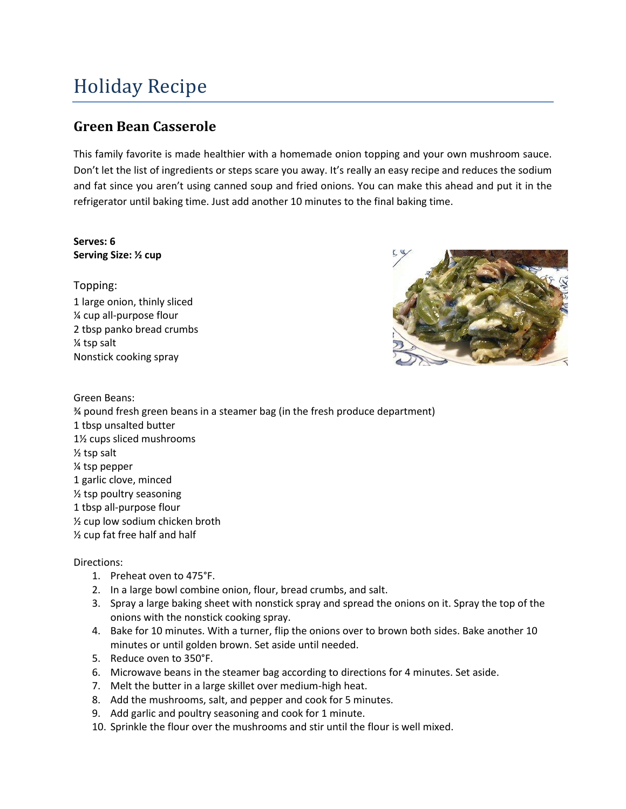## Holiday Recipe

## **Green Bean Casserole**

This family favorite is made healthier with a homemade onion topping and your own mushroom sauce. Don't let the list of ingredients or steps scare you away. It's really an easy recipe and reduces the sodium and fat since you aren't using canned soup and fried onions. You can make this ahead and put it in the refrigerator until baking time. Just add another 10 minutes to the final baking time.

## **Serves: 6 Serving Size: ½ cup**

Topping: 1 large onion, thinly sliced ¼ cup all-purpose flour 2 tbsp panko bread crumbs ¼ tsp salt Nonstick cooking spray



Green Beans: ¾ pound fresh green beans in a steamer bag (in the fresh produce department) 1 tbsp unsalted butter 1½ cups sliced mushrooms ½ tsp salt ¼ tsp pepper 1 garlic clove, minced ½ tsp poultry seasoning 1 tbsp all-purpose flour ½ cup low sodium chicken broth ½ cup fat free half and half

## Directions:

- 1. Preheat oven to 475°F.
- 2. In a large bowl combine onion, flour, bread crumbs, and salt.
- 3. Spray a large baking sheet with nonstick spray and spread the onions on it. Spray the top of the onions with the nonstick cooking spray.
- 4. Bake for 10 minutes. With a turner, flip the onions over to brown both sides. Bake another 10 minutes or until golden brown. Set aside until needed.
- 5. Reduce oven to 350°F.
- 6. Microwave beans in the steamer bag according to directions for 4 minutes. Set aside.
- 7. Melt the butter in a large skillet over medium-high heat.
- 8. Add the mushrooms, salt, and pepper and cook for 5 minutes.
- 9. Add garlic and poultry seasoning and cook for 1 minute.
- 10. Sprinkle the flour over the mushrooms and stir until the flour is well mixed.